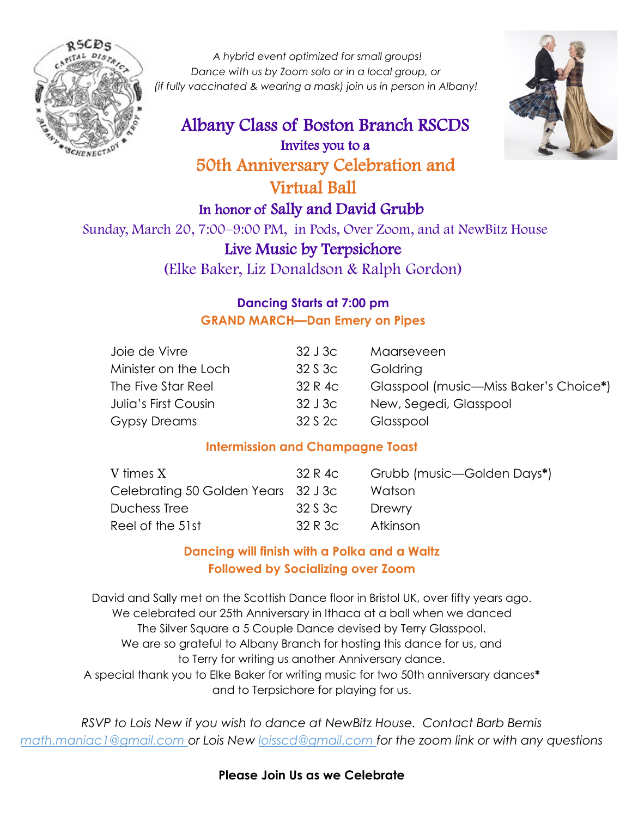

*A hybrid event optimized for small groups! Dance with us by Zoom solo or in a local group, or (if fully vaccinated & wearing a mask) join us in person in Albany!* 

# Albany Class of Boston Branch RSCDS Invites you to a 50th Anniversary Celebration and Virtual Ball In honor of Sally and David Grubb



 Sunday, March 20, 7:00–9:00 PM, in Pods, Over Zoom, and at NewBitz House Live Music by Terpsichore (Elke Baker, Liz Donaldson & Ralph Gordon)

### **Dancing Starts at 7:00 pm GRAND MARCH—Dan Emery on Pipes**

| Joie de Vivre        | 32J3c   | Maarseveen                             |
|----------------------|---------|----------------------------------------|
| Minister on the Loch | 32 S 3c | Goldring                               |
| The Five Star Reel   | 32 R 4c | Glasspool (music—Miss Baker's Choice*) |
| Julia's First Cousin | 32 J 3c | New, Segedi, Glasspool                 |
| <b>Gypsy Dreams</b>  | 32 S 2c | Glasspool                              |

### **Intermission and Champagne Toast**

| V times X                           | 32 R 4c | Grubb (music—Golden Days*) |
|-------------------------------------|---------|----------------------------|
| Celebrating 50 Golden Years 32 J 3c |         | Watson                     |
| Duchess Tree                        | 32 S 3c | Drewry                     |
| Reel of the 51st                    | 32 R 3c | Atkinson                   |
|                                     |         |                            |

## **Dancing will finish with a Polka and a Waltz Followed by Socializing over Zoom**

David and Sally met on the Scottish Dance floor in Bristol UK, over fifty years ago. We celebrated our 25th Anniversary in Ithaca at a ball when we danced The Silver Square a 5 Couple Dance devised by Terry Glasspool. We are so grateful to Albany Branch for hosting this dance for us, and to Terry for writing us another Anniversary dance. A special thank you to Elke Baker for writing music for two 50th anniversary dances**\*** and to Terpsichore for playing for us.

*RSVP to Lois New if you wish to dance at NewBitz House. Contact Barb Bemis math.maniac1@gmail.com or Lois New loisscd@gmail.com for the zoom link or with any questions*

#### **Please Join Us as we Celebrate**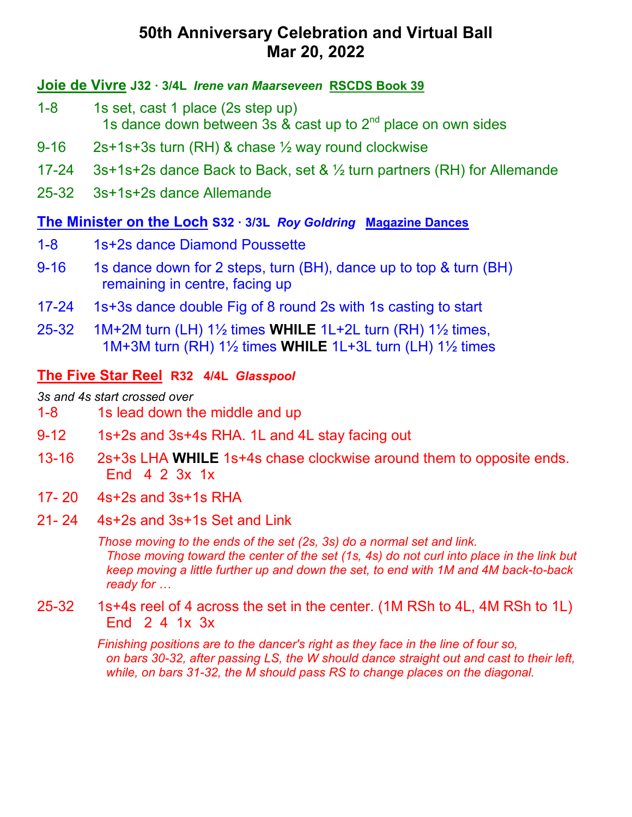#### **Joie de Vivre J32 · 3/4L** *Irene van Maarseveen* **RSCDS Book 39**

- 1-8 1s set, cast 1 place (2s step up) 1s dance down between 3s  $\&$  cast up to  $2^{nd}$  place on own sides
- 9-16 2s+1s+3s turn (RH) & chase ½ way round clockwise
- 17-24 3s+1s+2s dance Back to Back, set  $\& \frac{1}{2}$  turn partners (RH) for Allemande
- 25-32 3s+1s+2s dance Allemande

#### **The Minister on the Loch S32 · 3/3L** *Roy Goldring* **Magazine Dances**

- 1-8 1s+2s dance Diamond Poussette
- 9-16 1s dance down for 2 steps, turn (BH), dance up to top & turn (BH) remaining in centre, facing up
- 17-24 1s+3s dance double Fig of 8 round 2s with 1s casting to start
- 25-32 1M+2M turn (LH) 1½ times **WHILE** 1L+2L turn (RH) 1½ times, 1M+3M turn (RH) 1½ times **WHILE** 1L+3L turn (LH) 1½ times

## **The Five Star Reel R32 4/4L** *Glasspool*

*3s and 4s start crossed over* 

- 1-8 1s lead down the middle and up
- 9-12 1s+2s and 3s+4s RHA. 1L and 4L stay facing out
- 13-16 2s+3s LHA **WHILE** 1s+4s chase clockwise around them to opposite ends. End 4 2 3x 1x
- 17- 20 4s+2s and 3s+1s RHA
- 21- 24 4s+2s and 3s+1s Set and Link

*Those moving to the ends of the set (2s, 3s) do a normal set and link. Those moving toward the center of the set (1s, 4s) do not curl into place in the link but keep moving a little further up and down the set, to end with 1M and 4M back-to-back ready for …*

25-32 1s+4s reel of 4 across the set in the center. (1M RSh to 4L, 4M RSh to 1L) End 2 4 1x 3x

> *Finishing positions are to the dancer's right as they face in the line of four so, on bars 30-32, after passing LS, the W should dance straight out and cast to their left, while, on bars 31-32, the M should pass RS to change places on the diagonal.*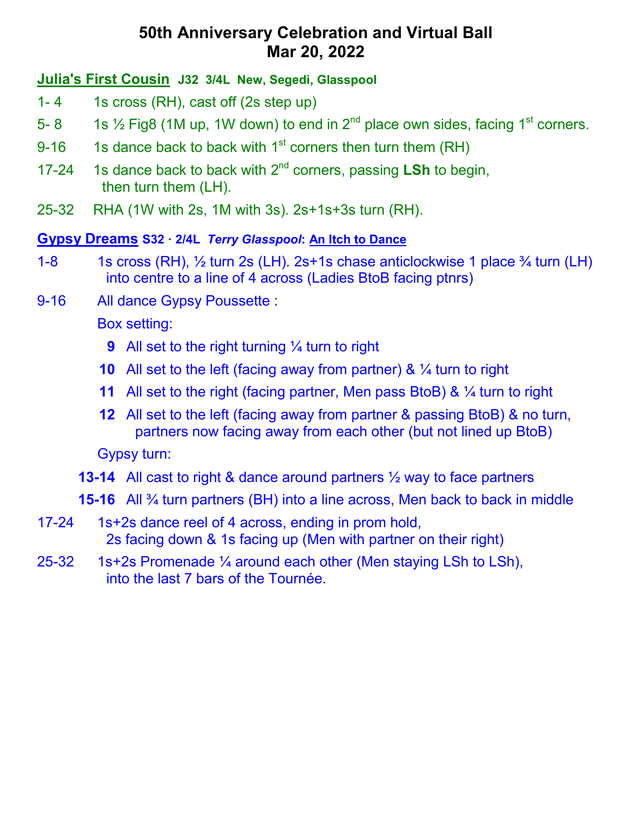#### **Julia's First Cousin J32 3/4L New, Segedi, Glasspool**

- 1- 4 1s cross (RH), cast off (2s step up)
- 5- 8 1s  $\frac{1}{2}$  Fig8 (1M up, 1W down) to end in  $2^{nd}$  place own sides, facing 1<sup>st</sup> corners.
- 9-16 1s dance back to back with  $1<sup>st</sup>$  corners then turn them (RH)
- 17-24 1s dance back to back with 2nd corners, passing **LSh** to begin, then turn them (LH).
- 25-32 RHA (1W with 2s, 1M with 3s). 2s+1s+3s turn (RH).

#### **Gypsy Dreams S32 · 2/4L** *Terry Glasspool***: An Itch to Dance**

- 1-8 1s cross (RH),  $\frac{1}{2}$  turn 2s (LH). 2s+1s chase anticlockwise 1 place  $\frac{3}{4}$  turn (LH) into centre to a line of 4 across (Ladies BtoB facing ptnrs)
- 9-16 All dance Gypsy Poussette :

Box setting:

- **9** All set to the right turning 1/4 turn to right
- **10** All set to the left (facing away from partner) &  $\frac{1}{4}$  turn to right
- **11** All set to the right (facing partner, Men pass BtoB) & 1/4 turn to right
- **12** All set to the left (facing away from partner & passing BtoB) & no turn, partners now facing away from each other (but not lined up BtoB)

Gypsy turn:

- **13-14** All cast to right & dance around partners ½ way to face partners
- **15-16** All ¾ turn partners (BH) into a line across, Men back to back in middle
- 17-24 1s+2s dance reel of 4 across, ending in prom hold, 2s facing down & 1s facing up (Men with partner on their right)
- 25-32 1s+2s Promenade  $\frac{1}{4}$  around each other (Men staying LSh to LSh), into the last 7 bars of the Tournée.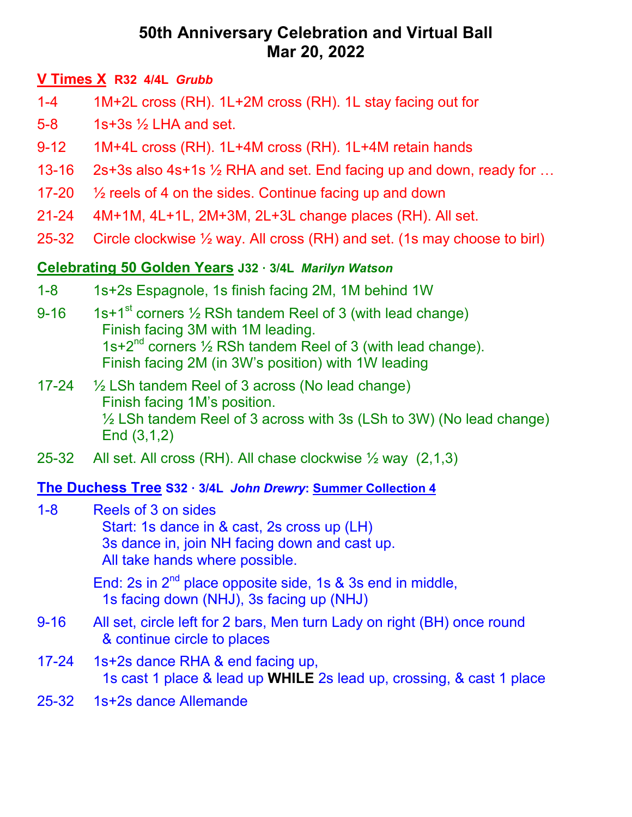## **V Times X R32 4/4L** *Grubb*

- 1-4 1M+2L cross (RH). 1L+2M cross (RH). 1L stay facing out for
- 5-8 1s+3s ½ LHA and set.
- 9-12 1M+4L cross (RH). 1L+4M cross (RH). 1L+4M retain hands
- 13-16 2s+3s also 4s+1s ½ RHA and set. End facing up and down, ready for …
- 17-20 ½ reels of 4 on the sides. Continue facing up and down
- 21-24 4M+1M, 4L+1L, 2M+3M, 2L+3L change places (RH). All set.
- 25-32 Circle clockwise ½ way. All cross (RH) and set. (1s may choose to birl)

## **Celebrating 50 Golden Years J32 · 3/4L** *Marilyn Watson*

- 1-8 1s+2s Espagnole, 1s finish facing 2M, 1M behind 1W
- 9-16 1s+1st corners  $\frac{1}{2}$  RSh tandem Reel of 3 (with lead change) Finish facing 3M with 1M leading. 1s+2<sup>nd</sup> corners  $\frac{1}{2}$  RSh tandem Reel of 3 (with lead change). Finish facing 2M (in 3W's position) with 1W leading
- 17-24  $\frac{1}{2}$  LSh tandem Reel of 3 across (No lead change) Finish facing 1M's position. ½ LSh tandem Reel of 3 across with 3s (LSh to 3W) (No lead change) End (3,1,2)
- 25-32 All set. All cross (RH). All chase clockwise ½ way (2,1,3)

### **The Duchess Tree S32 · 3/4L** *John Drewry***: Summer Collection 4**

1-8 Reels of 3 on sides Start: 1s dance in & cast, 2s cross up (LH) 3s dance in, join NH facing down and cast up. All take hands where possible.

> End: 2s in  $2^{nd}$  place opposite side, 1s & 3s end in middle, 1s facing down (NHJ), 3s facing up (NHJ)

- 9-16 All set, circle left for 2 bars, Men turn Lady on right (BH) once round & continue circle to places
- 17-24 1s+2s dance RHA & end facing up, 1s cast 1 place & lead up **WHILE** 2s lead up, crossing, & cast 1 place
- 25-32 1s+2s dance Allemande